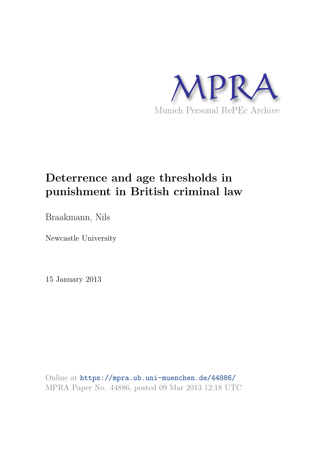

# **Deterrence and age thresholds in punishment in British criminal law**

Braakmann, Nils

Newcastle University

15 January 2013

Online at https://mpra.ub.uni-muenchen.de/44886/ MPRA Paper No. 44886, posted 09 Mar 2013 12:18 UTC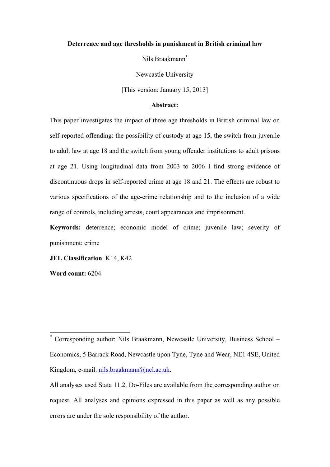#### **Deterrence and age thresholds in punishment in British criminal law**

Nils Braakmann\*

Newcastle University

[This version: January 15, 2013]

#### **Abstract:**

This paper investigates the impact of three age thresholds in British criminal law on self-reported offending: the possibility of custody at age 15, the switch from juvenile to adult law at age 18 and the switch from young offender institutions to adult prisons at age 21. Using longitudinal data from 2003 to 2006 I find strong evidence of discontinuous drops in self-reported crime at age 18 and 21. The effects are robust to various specifications of the age-crime relationship and to the inclusion of a wide range of controls, including arrests, court appearances and imprisonment.

**Keywords:** deterrence; economic model of crime; juvenile law; severity of punishment; crime

**JEL Classification**: K14, K42

**Word count:** 6204

<sup>\*</sup> Corresponding author: Nils Braakmann, Newcastle University, Business School – Economics, 5 Barrack Road, Newcastle upon Tyne, Tyne and Wear, NE1 4SE, United Kingdom, e-mail: nils.braakmann@ncl.ac.uk.

All analyses used Stata 11.2. Do-Files are available from the corresponding author on request. All analyses and opinions expressed in this paper as well as any possible errors are under the sole responsibility of the author.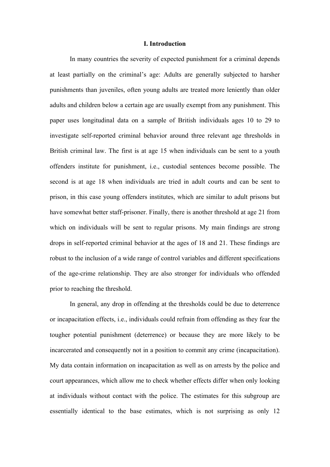#### **I. Introduction**

In many countries the severity of expected punishment for a criminal depends at least partially on the criminal's age: Adults are generally subjected to harsher punishments than juveniles, often young adults are treated more leniently than older adults and children below a certain age are usually exempt from any punishment. This paper uses longitudinal data on a sample of British individuals ages 10 to 29 to investigate self-reported criminal behavior around three relevant age thresholds in British criminal law. The first is at age 15 when individuals can be sent to a youth offenders institute for punishment, i.e., custodial sentences become possible. The second is at age 18 when individuals are tried in adult courts and can be sent to prison, in this case young offenders institutes, which are similar to adult prisons but have somewhat better staff-prisoner. Finally, there is another threshold at age 21 from which on individuals will be sent to regular prisons. My main findings are strong drops in self-reported criminal behavior at the ages of 18 and 21. These findings are robust to the inclusion of a wide range of control variables and different specifications of the age-crime relationship. They are also stronger for individuals who offended prior to reaching the threshold.

In general, any drop in offending at the thresholds could be due to deterrence or incapacitation effects, i.e., individuals could refrain from offending as they fear the tougher potential punishment (deterrence) or because they are more likely to be incarcerated and consequently not in a position to commit any crime (incapacitation). My data contain information on incapacitation as well as on arrests by the police and court appearances, which allow me to check whether effects differ when only looking at individuals without contact with the police. The estimates for this subgroup are essentially identical to the base estimates, which is not surprising as only 12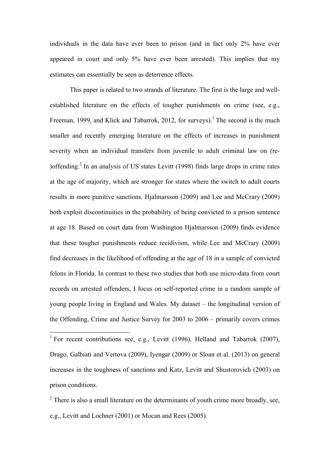individuals in the data have ever been to prison (and in fact only 2% have ever appeared in court and only 5% have ever been arrested). This implies that my estimates can essentially be seen as deterrence effects.

This paper is related to two strands of literature. The first is the large and wellestablished literature on the effects of tougher punishments on crime (see, e.g., Freeman, 1999, and Klick and Tabarrok, 2012, for surveys).<sup>1</sup> The second is the much smaller and recently emerging literature on the effects of increases in punishment severity when an individual transfers from juvenile to adult criminal law on (re- )offending.<sup>2</sup> In an analysis of US states Levitt (1998) finds large drops in crime rates at the age of majority, which are stronger for states where the switch to adult courts results in more punitive sanctions. Hjalmarsson (2009) and Lee and McCrary (2009) both exploit discontinuities in the probability of being convicted to a prison sentence at age 18. Based on court data from Washington Hjalmarsson (2009) finds evidence that these tougher punishments reduce recidivism, while Lee and McCrary (2009) find decreases in the likelihood of offending at the age of 18 in a sample of convicted felons in Florida. In contrast to these two studies that both use micro-data from court records on arrested offenders, I focus on self-reported crime in a random sample of young people living in England and Wales. My dataset – the longitudinal version of the Offending, Crime and Justice Survey for 2003 to 2006 – primarily covers crimes

 $2$  There is also a small literature on the determinants of youth crime more broadly, see, e.g., Levitt and Lochner (2001) or Mocan and Rees (2005).

<sup>&</sup>lt;sup>1</sup> For recent contributions see, e.g., Levitt (1996), Helland and Tabarrok (2007), Drago, Galbiati and Vertova (2009), Iyengar (2009) or Sloan et al. (2013) on general increases in the toughness of sanctions and Katz, Levitt and Shustorovich (2003) on prison conditions.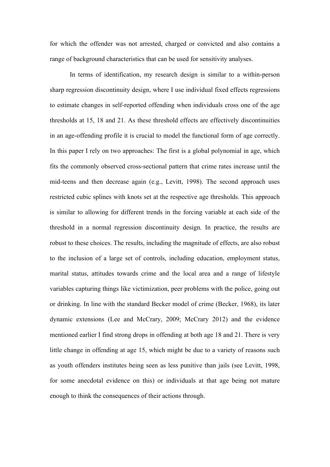for which the offender was not arrested, charged or convicted and also contains a range of background characteristics that can be used for sensitivity analyses.

In terms of identification, my research design is similar to a within-person sharp regression discontinuity design, where I use individual fixed effects regressions to estimate changes in self-reported offending when individuals cross one of the age thresholds at 15, 18 and 21. As these threshold effects are effectively discontinuities in an age-offending profile it is crucial to model the functional form of age correctly. In this paper I rely on two approaches: The first is a global polynomial in age, which fits the commonly observed cross-sectional pattern that crime rates increase until the mid-teens and then decrease again (e.g., Levitt, 1998). The second approach uses restricted cubic splines with knots set at the respective age thresholds. This approach is similar to allowing for different trends in the forcing variable at each side of the threshold in a normal regression discontinuity design. In practice, the results are robust to these choices. The results, including the magnitude of effects, are also robust to the inclusion of a large set of controls, including education, employment status, marital status, attitudes towards crime and the local area and a range of lifestyle variables capturing things like victimization, peer problems with the police, going out or drinking. In line with the standard Becker model of crime (Becker, 1968), its later dynamic extensions (Lee and McCrary, 2009; McCrary 2012) and the evidence mentioned earlier I find strong drops in offending at both age 18 and 21. There is very little change in offending at age 15, which might be due to a variety of reasons such as youth offenders institutes being seen as less punitive than jails (see Levitt, 1998, for some anecdotal evidence on this) or individuals at that age being not mature enough to think the consequences of their actions through.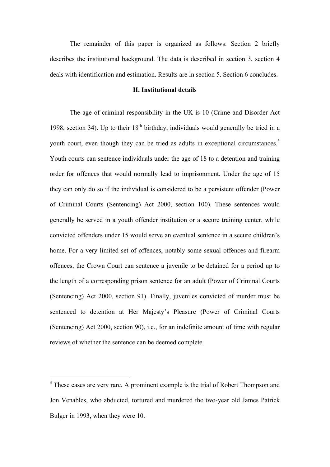The remainder of this paper is organized as follows: Section 2 briefly describes the institutional background. The data is described in section 3, section 4 deals with identification and estimation. Results are in section 5. Section 6 concludes.

# **II. Institutional details**

The age of criminal responsibility in the UK is 10 (Crime and Disorder Act 1998, section 34). Up to their  $18<sup>th</sup>$  birthday, individuals would generally be tried in a youth court, even though they can be tried as adults in exceptional circumstances.<sup>3</sup> Youth courts can sentence individuals under the age of 18 to a detention and training order for offences that would normally lead to imprisonment. Under the age of 15 they can only do so if the individual is considered to be a persistent offender (Power of Criminal Courts (Sentencing) Act 2000, section 100). These sentences would generally be served in a youth offender institution or a secure training center, while convicted offenders under 15 would serve an eventual sentence in a secure children's home. For a very limited set of offences, notably some sexual offences and firearm offences, the Crown Court can sentence a juvenile to be detained for a period up to the length of a corresponding prison sentence for an adult (Power of Criminal Courts (Sentencing) Act 2000, section 91). Finally, juveniles convicted of murder must be sentenced to detention at Her Majesty's Pleasure (Power of Criminal Courts (Sentencing) Act 2000, section 90), i.e., for an indefinite amount of time with regular reviews of whether the sentence can be deemed complete.

<sup>&</sup>lt;sup>3</sup> These cases are very rare. A prominent example is the trial of Robert Thompson and Jon Venables, who abducted, tortured and murdered the two-year old James Patrick Bulger in 1993, when they were 10.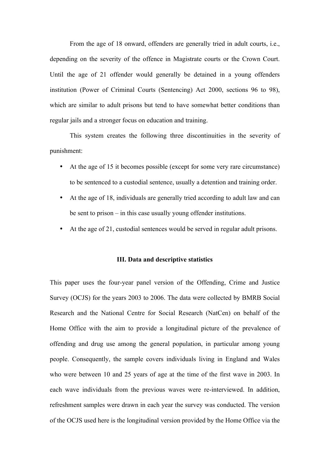From the age of 18 onward, offenders are generally tried in adult courts, i.e., depending on the severity of the offence in Magistrate courts or the Crown Court. Until the age of 21 offender would generally be detained in a young offenders institution (Power of Criminal Courts (Sentencing) Act 2000, sections 96 to 98), which are similar to adult prisons but tend to have somewhat better conditions than regular jails and a stronger focus on education and training.

This system creates the following three discontinuities in the severity of punishment:

- At the age of 15 it becomes possible (except for some very rare circumstance) to be sentenced to a custodial sentence, usually a detention and training order.
- At the age of 18, individuals are generally tried according to adult law and can be sent to prison – in this case usually young offender institutions.
- At the age of 21, custodial sentences would be served in regular adult prisons.

# **III. Data and descriptive statistics**

This paper uses the four-year panel version of the Offending, Crime and Justice Survey (OCJS) for the years 2003 to 2006. The data were collected by BMRB Social Research and the National Centre for Social Research (NatCen) on behalf of the Home Office with the aim to provide a longitudinal picture of the prevalence of offending and drug use among the general population, in particular among young people. Consequently, the sample covers individuals living in England and Wales who were between 10 and 25 years of age at the time of the first wave in 2003. In each wave individuals from the previous waves were re-interviewed. In addition, refreshment samples were drawn in each year the survey was conducted. The version of the OCJS used here is the longitudinal version provided by the Home Office via the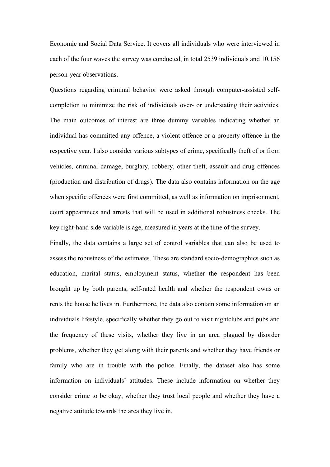Economic and Social Data Service. It covers all individuals who were interviewed in each of the four waves the survey was conducted, in total 2539 individuals and 10,156 person-year observations.

Questions regarding criminal behavior were asked through computer-assisted selfcompletion to minimize the risk of individuals over- or understating their activities. The main outcomes of interest are three dummy variables indicating whether an individual has committed any offence, a violent offence or a property offence in the respective year. I also consider various subtypes of crime, specifically theft of or from vehicles, criminal damage, burglary, robbery, other theft, assault and drug offences (production and distribution of drugs). The data also contains information on the age when specific offences were first committed, as well as information on imprisonment, court appearances and arrests that will be used in additional robustness checks. The key right-hand side variable is age, measured in years at the time of the survey.

Finally, the data contains a large set of control variables that can also be used to assess the robustness of the estimates. These are standard socio-demographics such as education, marital status, employment status, whether the respondent has been brought up by both parents, self-rated health and whether the respondent owns or rents the house he lives in. Furthermore, the data also contain some information on an individuals lifestyle, specifically whether they go out to visit nightclubs and pubs and the frequency of these visits, whether they live in an area plagued by disorder problems, whether they get along with their parents and whether they have friends or family who are in trouble with the police. Finally, the dataset also has some information on individuals' attitudes. These include information on whether they consider crime to be okay, whether they trust local people and whether they have a negative attitude towards the area they live in.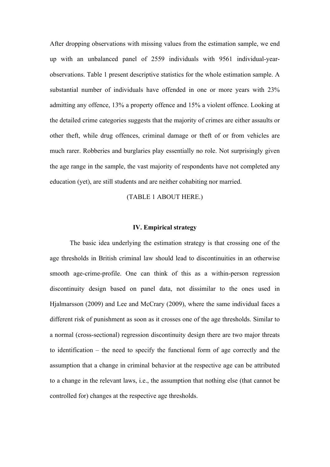After dropping observations with missing values from the estimation sample, we end up with an unbalanced panel of 2559 individuals with 9561 individual-yearobservations. Table 1 present descriptive statistics for the whole estimation sample. A substantial number of individuals have offended in one or more years with 23% admitting any offence, 13% a property offence and 15% a violent offence. Looking at the detailed crime categories suggests that the majority of crimes are either assaults or other theft, while drug offences, criminal damage or theft of or from vehicles are much rarer. Robberies and burglaries play essentially no role. Not surprisingly given the age range in the sample, the vast majority of respondents have not completed any education (yet), are still students and are neither cohabiting nor married.

(TABLE 1 ABOUT HERE.)

#### **IV. Empirical strategy**

The basic idea underlying the estimation strategy is that crossing one of the age thresholds in British criminal law should lead to discontinuities in an otherwise smooth age-crime-profile. One can think of this as a within-person regression discontinuity design based on panel data, not dissimilar to the ones used in Hjalmarsson (2009) and Lee and McCrary (2009), where the same individual faces a different risk of punishment as soon as it crosses one of the age thresholds. Similar to a normal (cross-sectional) regression discontinuity design there are two major threats to identification – the need to specify the functional form of age correctly and the assumption that a change in criminal behavior at the respective age can be attributed to a change in the relevant laws, i.e., the assumption that nothing else (that cannot be controlled for) changes at the respective age thresholds.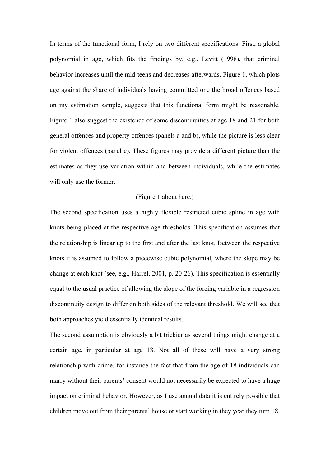In terms of the functional form, I rely on two different specifications. First, a global polynomial in age, which fits the findings by, e.g., Levitt (1998), that criminal behavior increases until the mid-teens and decreases afterwards. Figure 1, which plots age against the share of individuals having committed one the broad offences based on my estimation sample, suggests that this functional form might be reasonable. Figure 1 also suggest the existence of some discontinuities at age 18 and 21 for both general offences and property offences (panels a and b), while the picture is less clear for violent offences (panel c). These figures may provide a different picture than the estimates as they use variation within and between individuals, while the estimates will only use the former.

# (Figure 1 about here.)

The second specification uses a highly flexible restricted cubic spline in age with knots being placed at the respective age thresholds. This specification assumes that the relationship is linear up to the first and after the last knot. Between the respective knots it is assumed to follow a piecewise cubic polynomial, where the slope may be change at each knot (see, e.g., Harrel, 2001, p. 20-26). This specification is essentially equal to the usual practice of allowing the slope of the forcing variable in a regression discontinuity design to differ on both sides of the relevant threshold. We will see that both approaches yield essentially identical results.

The second assumption is obviously a bit trickier as several things might change at a certain age, in particular at age 18. Not all of these will have a very strong relationship with crime, for instance the fact that from the age of 18 individuals can marry without their parents' consent would not necessarily be expected to have a huge impact on criminal behavior. However, as I use annual data it is entirely possible that children move out from their parents' house or start working in they year they turn 18.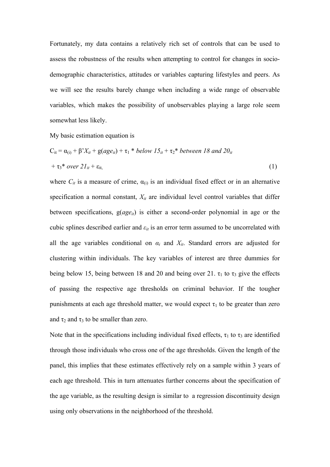Fortunately, my data contains a relatively rich set of controls that can be used to assess the robustness of the results when attempting to control for changes in sociodemographic characteristics, attitudes or variables capturing lifestyles and peers. As we will see the results barely change when including a wide range of observable variables, which makes the possibility of unobservables playing a large role seem somewhat less likely.

My basic estimation equation is

$$
C_{it} = \alpha_{(i)} + \beta' X_{it} + g(age_{it}) + \tau_1 * below 15_{it} + \tau_2 * between 18 and 20_{it}
$$
  
+ 
$$
\tau_3 * over 21_{it} + \epsilon_{it,}
$$
 (1)

where  $C_{it}$  is a measure of crime,  $\alpha_{(i)}$  is an individual fixed effect or in an alternative specification a normal constant, *Xit* are individual level control variables that differ between specifications, g(*ageit*) is either a second-order polynomial in age or the cubic splines described earlier and  $\varepsilon_{it}$  is an error term assumed to be uncorrelated with all the age variables conditional on  $\alpha_i$  and  $X_{it}$ . Standard errors are adjusted for clustering within individuals. The key variables of interest are three dummies for being below 15, being between 18 and 20 and being over 21.  $\tau_1$  to  $\tau_3$  give the effects of passing the respective age thresholds on criminal behavior. If the tougher punishments at each age threshold matter, we would expect  $\tau_1$  to be greater than zero and  $\tau_2$  and  $\tau_3$  to be smaller than zero.

Note that in the specifications including individual fixed effects,  $\tau_1$  to  $\tau_3$  are identified through those individuals who cross one of the age thresholds. Given the length of the panel, this implies that these estimates effectively rely on a sample within 3 years of each age threshold. This in turn attenuates further concerns about the specification of the age variable, as the resulting design is similar to a regression discontinuity design using only observations in the neighborhood of the threshold.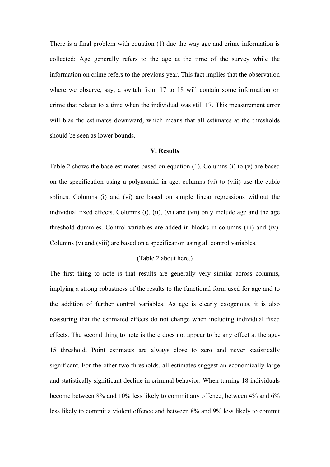There is a final problem with equation (1) due the way age and crime information is collected: Age generally refers to the age at the time of the survey while the information on crime refers to the previous year. This fact implies that the observation where we observe, say, a switch from 17 to 18 will contain some information on crime that relates to a time when the individual was still 17. This measurement error will bias the estimates downward, which means that all estimates at the thresholds should be seen as lower bounds.

#### **V. Results**

Table 2 shows the base estimates based on equation (1). Columns (i) to (v) are based on the specification using a polynomial in age, columns (vi) to (viii) use the cubic splines. Columns (i) and (vi) are based on simple linear regressions without the individual fixed effects. Columns (i), (ii), (vi) and (vii) only include age and the age threshold dummies. Control variables are added in blocks in columns (iii) and (iv). Columns (v) and (viii) are based on a specification using all control variables.

# (Table 2 about here.)

The first thing to note is that results are generally very similar across columns, implying a strong robustness of the results to the functional form used for age and to the addition of further control variables. As age is clearly exogenous, it is also reassuring that the estimated effects do not change when including individual fixed effects. The second thing to note is there does not appear to be any effect at the age-15 threshold. Point estimates are always close to zero and never statistically significant. For the other two thresholds, all estimates suggest an economically large and statistically significant decline in criminal behavior. When turning 18 individuals become between 8% and 10% less likely to commit any offence, between 4% and 6% less likely to commit a violent offence and between 8% and 9% less likely to commit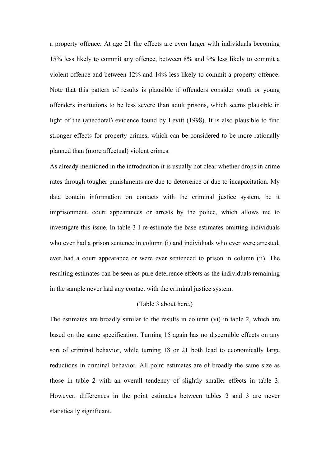a property offence. At age 21 the effects are even larger with individuals becoming 15% less likely to commit any offence, between 8% and 9% less likely to commit a violent offence and between 12% and 14% less likely to commit a property offence. Note that this pattern of results is plausible if offenders consider youth or young offenders institutions to be less severe than adult prisons, which seems plausible in light of the (anecdotal) evidence found by Levitt (1998). It is also plausible to find stronger effects for property crimes, which can be considered to be more rationally planned than (more affectual) violent crimes.

As already mentioned in the introduction it is usually not clear whether drops in crime rates through tougher punishments are due to deterrence or due to incapacitation. My data contain information on contacts with the criminal justice system, be it imprisonment, court appearances or arrests by the police, which allows me to investigate this issue. In table 3 I re-estimate the base estimates omitting individuals who ever had a prison sentence in column (i) and individuals who ever were arrested, ever had a court appearance or were ever sentenced to prison in column (ii). The resulting estimates can be seen as pure deterrence effects as the individuals remaining in the sample never had any contact with the criminal justice system.

# (Table 3 about here.)

The estimates are broadly similar to the results in column (vi) in table 2, which are based on the same specification. Turning 15 again has no discernible effects on any sort of criminal behavior, while turning 18 or 21 both lead to economically large reductions in criminal behavior. All point estimates are of broadly the same size as those in table 2 with an overall tendency of slightly smaller effects in table 3. However, differences in the point estimates between tables 2 and 3 are never statistically significant.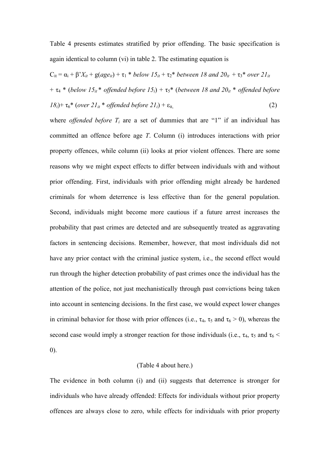Table 4 presents estimates stratified by prior offending. The basic specification is again identical to column (vi) in table 2. The estimating equation is

$$
C_{it} = \alpha_i + \beta' X_{it} + g(age_{it}) + \tau_1 * below 15_{it} + \tau_2 * between 18 and 20_{it} + \tau_3 * over 21_{it}
$$
  
+  $\tau_4 * (below 15_{it} * offended before 15_{i}) + \tau_5 * (between 18 and 20_{it} * offended before 18_{i}) + \tau_6 * (over 21_{it} * offended before 21_{i}) + \epsilon_{it}$  (2)

where *offended before*  $T_i$  are a set of dummies that are "1" if an individual has committed an offence before age *T*. Column (i) introduces interactions with prior property offences, while column (ii) looks at prior violent offences. There are some reasons why we might expect effects to differ between individuals with and without prior offending. First, individuals with prior offending might already be hardened criminals for whom deterrence is less effective than for the general population. Second, individuals might become more cautious if a future arrest increases the probability that past crimes are detected and are subsequently treated as aggravating factors in sentencing decisions. Remember, however, that most individuals did not have any prior contact with the criminal justice system, *i.e.*, the second effect would run through the higher detection probability of past crimes once the individual has the attention of the police, not just mechanistically through past convictions being taken into account in sentencing decisions. In the first case, we would expect lower changes in criminal behavior for those with prior offences (i.e.,  $\tau_4$ ,  $\tau_5$  and  $\tau_6 > 0$ ), whereas the second case would imply a stronger reaction for those individuals (i.e.,  $\tau_4$ ,  $\tau_5$  and  $\tau_6$  < 0).

### (Table 4 about here.)

The evidence in both column (i) and (ii) suggests that deterrence is stronger for individuals who have already offended: Effects for individuals without prior property offences are always close to zero, while effects for individuals with prior property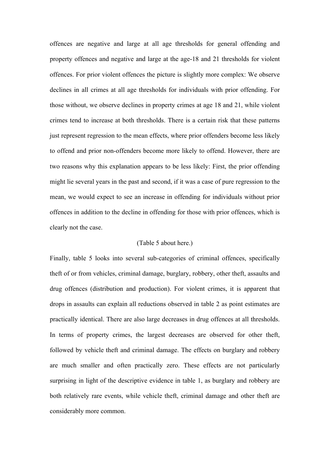offences are negative and large at all age thresholds for general offending and property offences and negative and large at the age-18 and 21 thresholds for violent offences. For prior violent offences the picture is slightly more complex: We observe declines in all crimes at all age thresholds for individuals with prior offending. For those without, we observe declines in property crimes at age 18 and 21, while violent crimes tend to increase at both thresholds. There is a certain risk that these patterns just represent regression to the mean effects, where prior offenders become less likely to offend and prior non-offenders become more likely to offend. However, there are two reasons why this explanation appears to be less likely: First, the prior offending might lie several years in the past and second, if it was a case of pure regression to the mean, we would expect to see an increase in offending for individuals without prior offences in addition to the decline in offending for those with prior offences, which is clearly not the case.

# (Table 5 about here.)

Finally, table 5 looks into several sub-categories of criminal offences, specifically theft of or from vehicles, criminal damage, burglary, robbery, other theft, assaults and drug offences (distribution and production). For violent crimes, it is apparent that drops in assaults can explain all reductions observed in table 2 as point estimates are practically identical. There are also large decreases in drug offences at all thresholds. In terms of property crimes, the largest decreases are observed for other theft, followed by vehicle theft and criminal damage. The effects on burglary and robbery are much smaller and often practically zero. These effects are not particularly surprising in light of the descriptive evidence in table 1, as burglary and robbery are both relatively rare events, while vehicle theft, criminal damage and other theft are considerably more common.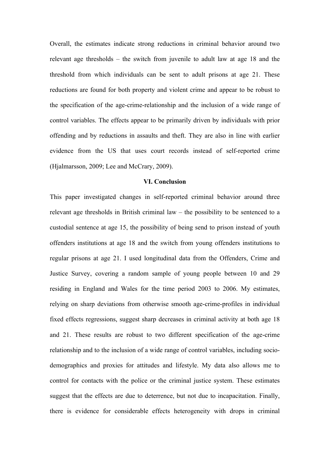Overall, the estimates indicate strong reductions in criminal behavior around two relevant age thresholds – the switch from juvenile to adult law at age 18 and the threshold from which individuals can be sent to adult prisons at age 21. These reductions are found for both property and violent crime and appear to be robust to the specification of the age-crime-relationship and the inclusion of a wide range of control variables. The effects appear to be primarily driven by individuals with prior offending and by reductions in assaults and theft. They are also in line with earlier evidence from the US that uses court records instead of self-reported crime (Hjalmarsson, 2009; Lee and McCrary, 2009).

# **VI. Conclusion**

This paper investigated changes in self-reported criminal behavior around three relevant age thresholds in British criminal law – the possibility to be sentenced to a custodial sentence at age 15, the possibility of being send to prison instead of youth offenders institutions at age 18 and the switch from young offenders institutions to regular prisons at age 21. I used longitudinal data from the Offenders, Crime and Justice Survey, covering a random sample of young people between 10 and 29 residing in England and Wales for the time period 2003 to 2006. My estimates, relying on sharp deviations from otherwise smooth age-crime-profiles in individual fixed effects regressions, suggest sharp decreases in criminal activity at both age 18 and 21. These results are robust to two different specification of the age-crime relationship and to the inclusion of a wide range of control variables, including sociodemographics and proxies for attitudes and lifestyle. My data also allows me to control for contacts with the police or the criminal justice system. These estimates suggest that the effects are due to deterrence, but not due to incapacitation. Finally, there is evidence for considerable effects heterogeneity with drops in criminal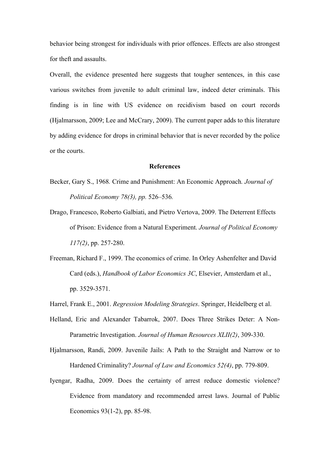behavior being strongest for individuals with prior offences. Effects are also strongest for theft and assaults.

Overall, the evidence presented here suggests that tougher sentences, in this case various switches from juvenile to adult criminal law, indeed deter criminals. This finding is in line with US evidence on recidivism based on court records (Hjalmarsson, 2009; Lee and McCrary, 2009). The current paper adds to this literature by adding evidence for drops in criminal behavior that is never recorded by the police or the courts.

#### **References**

- Becker, Gary S., 1968*.* Crime and Punishment: An Economic Approach*. Journal of Political Economy 78(3), pp.* 526*–*536*.*
- Drago, Francesco, Roberto Galbiati, and Pietro Vertova, 2009. The Deterrent Effects of Prison: Evidence from a Natural Experiment. *Journal of Political Economy 117(2)*, pp. 257-280.
- Freeman, Richard F., 1999. The economics of crime. In Orley Ashenfelter and David Card (eds.), *Handbook of Labor Economics 3C*, Elsevier, Amsterdam et al., pp. 3529-3571.

Harrel, Frank E., 2001. *Regression Modeling Strategies*. Springer, Heidelberg et al.

- Helland, Eric and Alexander Tabarrok, 2007. Does Three Strikes Deter: A Non-Parametric Investigation. *Journal of Human Resources XLII(2)*, 309-330.
- Hjalmarsson, Randi, 2009. Juvenile Jails: A Path to the Straight and Narrow or to Hardened Criminality? *Journal of Law and Economics 52(4)*, pp. 779-809.
- Iyengar, Radha, 2009. Does the certainty of arrest reduce domestic violence? Evidence from mandatory and recommended arrest laws. Journal of Public Economics 93(1-2), pp. 85-98.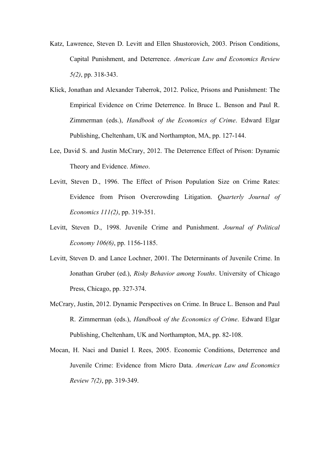- Katz, Lawrence, Steven D. Levitt and Ellen Shustorovich, 2003. Prison Conditions, Capital Punishment, and Deterrence. *American Law and Economics Review 5(2)*, pp. 318-343.
- Klick, Jonathan and Alexander Taberrok, 2012. Police, Prisons and Punishment: The Empirical Evidence on Crime Deterrence. In Bruce L. Benson and Paul R. Zimmerman (eds.), *Handbook of the Economics of Crime*. Edward Elgar Publishing, Cheltenham, UK and Northampton, MA, pp. 127-144.
- Lee, David S. and Justin McCrary, 2012. The Deterrence Effect of Prison: Dynamic Theory and Evidence. *Mimeo*.
- Levitt, Steven D., 1996. The Effect of Prison Population Size on Crime Rates: Evidence from Prison Overcrowding Litigation. *Quarterly Journal of Economics 111(2)*, pp. 319-351.
- Levitt, Steven D., 1998. Juvenile Crime and Punishment. *Journal of Political Economy 106(6)*, pp. 1156-1185.
- Levitt, Steven D. and Lance Lochner, 2001. The Determinants of Juvenile Crime. In Jonathan Gruber (ed.), *Risky Behavior among Youths*. University of Chicago Press, Chicago, pp. 327-374.
- McCrary, Justin, 2012. Dynamic Perspectives on Crime. In Bruce L. Benson and Paul R. Zimmerman (eds.), *Handbook of the Economics of Crime*. Edward Elgar Publishing, Cheltenham, UK and Northampton, MA, pp. 82-108.
- Mocan, H. Naci and Daniel I. Rees, 2005. Economic Conditions, Deterrence and Juvenile Crime: Evidence from Micro Data. *American Law and Economics Review 7(2)*, pp. 319-349.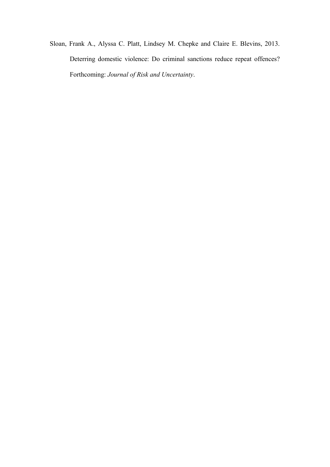Sloan, Frank A., Alyssa C. Platt, Lindsey M. Chepke and Claire E. Blevins, 2013. Deterring domestic violence: Do criminal sanctions reduce repeat offences? Forthcoming: *Journal of Risk and Uncertainty*.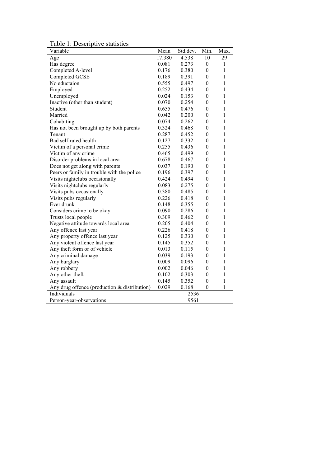Table 1: Descriptive statistics

| Variable                                     | Mean   | Std.dev. | Min.             | Max.         |
|----------------------------------------------|--------|----------|------------------|--------------|
| Age                                          | 17.380 | 4.538    | 10               | 29           |
| Has degree                                   | 0.081  | 0.273    | $\boldsymbol{0}$ | 1            |
| Completed A-level                            | 0.176  | 0.380    | $\boldsymbol{0}$ | $\mathbf{1}$ |
| Completed GCSE                               | 0.189  | 0.391    | $\boldsymbol{0}$ | 1            |
| No eductaion                                 | 0.555  | 0.497    | $\boldsymbol{0}$ | $\mathbf{1}$ |
| Employed                                     | 0.252  | 0.434    | $\boldsymbol{0}$ | 1            |
| Unemployed                                   | 0.024  | 0.153    | $\boldsymbol{0}$ | 1            |
| Inactive (other than student)                | 0.070  | 0.254    | $\boldsymbol{0}$ | $\mathbf{1}$ |
| Student                                      | 0.655  | 0.476    | $\boldsymbol{0}$ | $\mathbf{1}$ |
| Married                                      | 0.042  | 0.200    | $\theta$         | 1            |
| Cohabiting                                   | 0.074  | 0.262    | $\boldsymbol{0}$ | 1            |
| Has not been brought up by both parents      | 0.324  | 0.468    | $\boldsymbol{0}$ | 1            |
| Tenant                                       | 0.287  | 0.452    | $\boldsymbol{0}$ | 1            |
| Bad self-rated health                        | 0.127  | 0.332    | $\theta$         | 1            |
| Victim of a personal crime                   | 0.255  | 0.436    | $\theta$         | 1            |
| Victim of any crime                          | 0.465  | 0.499    | $\boldsymbol{0}$ | $\mathbf{1}$ |
| Disorder problems in local area              | 0.678  | 0.467    | $\boldsymbol{0}$ | 1            |
| Does not get along with parents              | 0.037  | 0.190    | $\boldsymbol{0}$ | 1            |
| Peers or family in trouble with the police   | 0.196  | 0.397    | $\boldsymbol{0}$ | 1            |
| Visits nightclubs occasionally               | 0.424  | 0.494    | $\boldsymbol{0}$ | $\mathbf{1}$ |
| Visits nightclubs regularly                  | 0.083  | 0.275    | $\boldsymbol{0}$ | $\mathbf{1}$ |
| Visits pubs occasionally                     | 0.380  | 0.485    | $\boldsymbol{0}$ | $\mathbf{1}$ |
| Visits pubs regularly                        | 0.226  | 0.418    | $\boldsymbol{0}$ | 1            |
| Ever drunk                                   | 0.148  | 0.355    | $\boldsymbol{0}$ | 1            |
| Considers crime to be okay                   | 0.090  | 0.286    | $\boldsymbol{0}$ | $\mathbf{1}$ |
| Trusts local people                          | 0.309  | 0.462    | $\boldsymbol{0}$ | $\mathbf{1}$ |
| Negative attitude towards local area         | 0.205  | 0.404    | $\theta$         | 1            |
| Any offence last year                        | 0.226  | 0.418    | $\theta$         | 1            |
| Any property offence last year               | 0.125  | 0.330    | $\boldsymbol{0}$ | 1            |
| Any violent offence last year                | 0.145  | 0.352    | $\theta$         | 1            |
| Any theft form or of vehicle                 | 0.013  | 0.115    | $\boldsymbol{0}$ | 1            |
| Any criminal damage                          | 0.039  | 0.193    | $\boldsymbol{0}$ | 1            |
| Any burglary                                 | 0.009  | 0.096    | $\boldsymbol{0}$ | 1            |
| Any robbery                                  | 0.002  | 0.046    | $\boldsymbol{0}$ | 1            |
| Any other theft                              | 0.102  | 0.303    | $\boldsymbol{0}$ | $\mathbf{1}$ |
| Any assault                                  | 0.145  | 0.352    | $\boldsymbol{0}$ | $\mathbf{1}$ |
| Any drug offence (production & distribution) | 0.029  | 0.168    | $\boldsymbol{0}$ | 1            |
| Individuals                                  |        | 2536     |                  |              |
| Person-year-observations                     |        | 9561     |                  |              |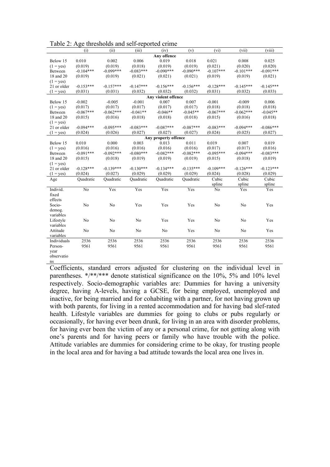|                    | (i)         | (ii)        | (iii)       | (iv)                 | (v)         | (vi)           | (vii)          | (viii)      |
|--------------------|-------------|-------------|-------------|----------------------|-------------|----------------|----------------|-------------|
|                    |             |             |             | Any offence          |             |                |                |             |
| Below 15           | 0.010       | 0.002       | 0.006       | 0.019                | 0.018       | 0.021          | 0.008          | 0.025       |
| $(1 = yes)$        | (0.019)     | (0.019)     | (0.018)     | (0.019)              | (0.019)     | (0.021)        | (0.020)        | (0.020)     |
| Between            | $-0.104***$ | $-0.099***$ | $-0.083***$ | $-0.090***$          | $-0.090***$ | $-0.107***$    | $-0.101***$    | $-0.091***$ |
| 18 and 20          | (0.019)     | (0.019)     | (0.021)     | (0.021)              | (0.021)     | (0.019)        | (0.019)        | (0.021)     |
| $(1 = \text{ves})$ |             |             |             |                      |             |                |                |             |
| 21 or older        | $-0.153***$ | $-0.157***$ | $-0.147***$ | $-0.156***$          | $-0.156***$ | $-0.128***$    | $-0.145***$    | $-0.145***$ |
| $(1 = \text{ves})$ | (0.031)     | (0.031)     | (0.032)     | (0.032)              | (0.032)     | (0.031)        | (0.032)        | (0.033)     |
|                    |             |             |             | Any violent offence  |             |                |                |             |
| Below 15           | $-0.002$    | $-0.005$    | $-0.001$    | 0.007                | 0.007       | $-0.001$       | $-0.009$       | 0.006       |
| $(1 = yes)$        | (0.017)     | (0.017)     | (0.017)     | (0.017)              | (0.017)     | (0.018)        | (0.018)        | (0.018)     |
| Between            | $-0.067***$ | $-0.062***$ | $-0.041**$  | $-0.046**$           | $-0.045**$  | $-0.067***$    | $-0.062***$    | $-0.045**$  |
| 18 and 20          | (0.015)     | (0.016)     | (0.018)     | (0.018)              | (0.018)     | (0.015)        | (0.016)        | (0.018)     |
| $(1 = yes)$        |             |             |             |                      |             |                |                |             |
| 21 or older        | $-0.094***$ | $-0.095***$ | $-0.083***$ | $-0.087***$          | $-0.087***$ | $-0.083***$    | $-0.094***$    | $-0.086***$ |
| $(1 = \text{ves})$ | (0.024)     | (0.026)     | (0.027)     | (0.027)              | (0.027)     | (0.024)        | (0.025)        | (0.027)     |
|                    |             |             |             | Any property offence |             |                |                |             |
| Below 15           | 0.010       | 0.000       | 0.003       | 0.013                | 0.011       | 0.019          | 0.007          | 0.019       |
| $(1 = \text{ves})$ | (0.016)     | (0.016)     | (0.016)     | (0.016)              | (0.016)     | (0.017)        | (0.017)        | (0.016)     |
| Between            | $-0.091***$ | $-0.092***$ | $-0.080***$ | $-0.082***$          | $-0.082***$ | $-0.095***$    | $-0.094***$    | $-0.083***$ |
| 18 and 20          | (0.015)     | (0.018)     | (0.019)     | (0.019)              | (0.019)     | (0.015)        | (0.018)        | (0.019)     |
| $(1 = yes)$        |             |             |             |                      |             |                |                |             |
| 21 or older        | $-0.128***$ | $-0.139***$ | $-0.130***$ | $-0.134***$          | $-0.135***$ | $-0.109***$    | $-0.126***$    | $-0.123***$ |
| $(1 = yes)$        | (0.024)     | (0.027)     | (0.029)     | (0.029)              | (0.029)     | (0.024)        | (0.028)        | (0.029)     |
| Age                | Quadratic   | Ouadratic   | Quadratic   | Ouadratic            | Quadratic   | Cubic          | Cubic          | Cubic       |
|                    |             |             |             |                      |             | spline         | spline         | spline      |
| Individ.           | No          | Yes         | Yes         | Yes                  | Yes         | N <sub>o</sub> | Yes            | Yes         |
| fixed              |             |             |             |                      |             |                |                |             |
| effects            |             |             |             |                      |             |                |                |             |
| Socio-             | No          | No          | Yes         | Yes                  | Yes         | No             | No             | Yes         |
| demog.             |             |             |             |                      |             |                |                |             |
| variables          |             |             |             |                      |             |                |                |             |
| Lifestyle          | No          | No          | No          | Yes                  | Yes         | No             | N <sub>0</sub> | Yes         |
| variables          |             |             |             |                      |             |                |                |             |
| Attitude           | No          | No          | No          | No                   | Yes         | No             | No             | Yes         |
| variables          |             |             |             |                      |             |                |                |             |
| Individuals        | 2536        | 2536        | 2536        | 2536                 | 2536        | 2536           | 2536           | 2536        |
| Person-            | 9561        | 9561        | 9561        | 9561                 | 9561        | 9561           | 9561           | 9561        |
| vear               |             |             |             |                      |             |                |                |             |
| observatio         |             |             |             |                      |             |                |                |             |
|                    |             |             |             |                      |             |                |                |             |
| ns                 |             |             |             |                      |             |                |                |             |

Coefficients, standard errors adjusted for clustering on the individual level in parentheses. \*/\*\*/\*\*\* denote statistical significance on the 10%, 5% and 10% level respectively. Socio-demographic variables are: Dummies for having a university degree, having A-levels, having a GCSE, for being employed, unemployed and inactive, for being married and for cohabiting with a partner, for not having grown up with both parents, for living in a rented accommodation and for having bad slef-rated health. Lifestyle variables are dummies for going to clubs or pubs regularly or occasionally, for having ever been drunk, for living in an area with disorder problems, for having ever been the victim of any or a personal crime, for not getting along with one's parents and for having peers or family who have trouble with the police. Attitude variables are dummies for considering crime to be okay, for trusting people in the local area and for having a bad attitude towards the local area one lives in.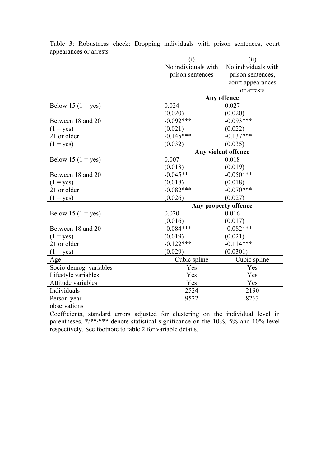| 9                      |                      |                     |  |
|------------------------|----------------------|---------------------|--|
|                        | (i)                  | (ii)                |  |
|                        | No individuals with  | No individuals with |  |
|                        | prison sentences     | prison sentences,   |  |
|                        |                      | court appearances   |  |
|                        |                      | or arrests          |  |
|                        |                      | Any offence         |  |
| Below 15 ( $1 = yes$ ) | 0.024                | 0.027               |  |
|                        | (0.020)              | (0.020)             |  |
| Between 18 and 20      | $-0.092***$          | $-0.093***$         |  |
| $(1 = yes)$            | (0.021)              | (0.022)             |  |
| 21 or older            | $-0.145***$          | $-0.137***$         |  |
| $(1 = yes)$            | (0.032)              | (0.035)             |  |
|                        | Any violent offence  |                     |  |
| Below 15 ( $1 = yes$ ) | 0.007                | 0.018               |  |
|                        | (0.018)              | (0.019)             |  |
| Between 18 and 20      | $-0.045**$           | $-0.050***$         |  |
| $(1 = yes)$            | (0.018)              | (0.018)             |  |
| 21 or older            | $-0.082***$          | $-0.070***$         |  |
| $(1 = yes)$            | (0.026)              | (0.027)             |  |
|                        | Any property offence |                     |  |
| Below 15 ( $1 = yes$ ) | 0.020                | 0.016               |  |
|                        | (0.016)              | (0.017)             |  |
| Between 18 and 20      | $-0.084***$          | $-0.082***$         |  |
| $(1 = yes)$            | (0.019)              | (0.021)             |  |
| 21 or older            | $-0.122***$          | $-0.114***$         |  |
| $(1 = yes)$            | (0.029)              | (0.0301)            |  |
| Age                    | Cubic spline         | Cubic spline        |  |
| Socio-demog. variables | Yes                  | Yes                 |  |
| Lifestyle variables    | Yes                  | Yes                 |  |
| Attitude variables     | Yes                  | Yes                 |  |
| Individuals            | 2524                 | 2190                |  |
| Person-year            | 9522                 | 8263                |  |
| observations           |                      |                     |  |

Table 3: Robustness check: Dropping individuals with prison sentences, court appearances or arrests

Coefficients, standard errors adjusted for clustering on the individual level in parentheses. \*/\*\*/\*\*\* denote statistical significance on the 10%, 5% and 10% level respectively. See footnote to table 2 for variable details.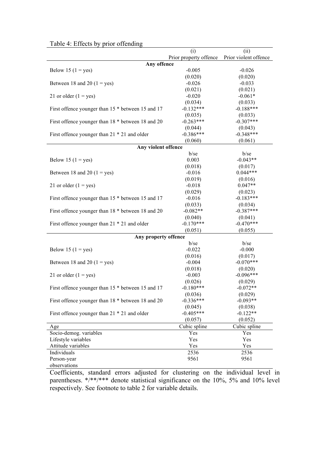|                                                     | (i)<br>Prior property offence | (ii)<br>Prior violent offence |  |  |  |  |
|-----------------------------------------------------|-------------------------------|-------------------------------|--|--|--|--|
|                                                     |                               |                               |  |  |  |  |
| Any offence                                         |                               |                               |  |  |  |  |
| Below 15 ( $1 = yes$ )                              | $-0.005$                      | $-0.026$                      |  |  |  |  |
|                                                     | (0.020)                       | (0.020)                       |  |  |  |  |
| Between 18 and 20 (1 = yes)                         | $-0.026$                      | $-0.033$                      |  |  |  |  |
|                                                     | (0.021)                       | (0.021)                       |  |  |  |  |
| 21 or older $(1 = yes)$                             | $-0.020$                      | $-0.061*$                     |  |  |  |  |
|                                                     | (0.034)                       | (0.033)                       |  |  |  |  |
| First offence younger than 15 $*$ between 15 and 17 | $-0.132***$                   | $-0.188***$                   |  |  |  |  |
|                                                     | (0.035)                       | (0.033)                       |  |  |  |  |
| First offence younger than 18 * between 18 and 20   | $-0.263***$                   | $-0.307***$                   |  |  |  |  |
|                                                     | (0.044)                       | (0.043)                       |  |  |  |  |
| First offence younger than 21 * 21 and older        | $-0.386***$                   | $-0.348***$                   |  |  |  |  |
|                                                     | (0.060)                       | (0.061)                       |  |  |  |  |
| Any violent offence                                 |                               |                               |  |  |  |  |
|                                                     | $b$ /se                       | b/se                          |  |  |  |  |
| Below 15 ( $1 = yes$ )                              | 0.003                         | $-0.043**$                    |  |  |  |  |
|                                                     | (0.018)                       | (0.017)                       |  |  |  |  |
|                                                     |                               | $0.044***$                    |  |  |  |  |
| Between 18 and 20 ( $1 = yes$ )                     | $-0.016$                      |                               |  |  |  |  |
|                                                     | (0.019)                       | (0.016)                       |  |  |  |  |
| 21 or older $(1 = yes)$                             | $-0.018$                      | $0.047**$                     |  |  |  |  |
|                                                     | (0.029)                       | (0.023)                       |  |  |  |  |
| First offence younger than 15 $*$ between 15 and 17 | $-0.016$                      | $-0.183***$                   |  |  |  |  |
|                                                     | (0.033)                       | (0.034)                       |  |  |  |  |
| First offence younger than 18 * between 18 and 20   | $-0.082**$                    | $-0.387***$                   |  |  |  |  |
|                                                     | (0.040)                       | (0.041)                       |  |  |  |  |
| First offence younger than 21 * 21 and older        | $-0.170***$                   | $-0.470***$                   |  |  |  |  |
|                                                     | (0.051)                       | (0.055)                       |  |  |  |  |
| Any property offence                                |                               |                               |  |  |  |  |
|                                                     | $b$ /se                       | $b$ /se                       |  |  |  |  |
| Below 15 ( $1 = yes$ )                              | $-0.022$                      | $-0.000$                      |  |  |  |  |
|                                                     | (0.016)                       | (0.017)                       |  |  |  |  |
| Between 18 and 20 ( $1 = yes$ )                     | $-0.004$                      | $-0.070***$                   |  |  |  |  |
|                                                     | (0.018)                       | (0.020)                       |  |  |  |  |
| 21 or older $(1 = yes)$                             | $-0.003$                      | $-0.096***$                   |  |  |  |  |
|                                                     | (0.026)                       | (0.029)                       |  |  |  |  |
| First offence younger than 15 $*$ between 15 and 17 | $-0.180***$                   | $-0.072**$                    |  |  |  |  |
|                                                     | (0.036)                       | (0.029)                       |  |  |  |  |
| First offence younger than 18 * between 18 and 20   | $-0.336***$                   | $-0.093**$                    |  |  |  |  |
|                                                     |                               |                               |  |  |  |  |
|                                                     | (0.045)                       | (0.038)                       |  |  |  |  |
| First offence younger than 21 * 21 and older        | $-0.405***$                   | $-0.122**$                    |  |  |  |  |
|                                                     | (0.057)                       | (0.052)                       |  |  |  |  |
| Age                                                 | Cubic spline                  | Cubic spline                  |  |  |  |  |
| Socio-demog. variables                              | Yes                           | Yes                           |  |  |  |  |
| Lifestyle variables                                 | Yes                           | Yes                           |  |  |  |  |
| Attitude variables                                  | Yes                           | Yes                           |  |  |  |  |
| Individuals                                         | 2536                          | 2536                          |  |  |  |  |
| Person-year                                         | 9561                          | 9561                          |  |  |  |  |
| observations                                        |                               |                               |  |  |  |  |

Coefficients, standard errors adjusted for clustering on the individual level in parentheses. \*/\*\*/\*\*\* denote statistical significance on the 10%, 5% and 10% level respectively. See footnote to table 2 for variable details.

# Table 4: Effects by prior offending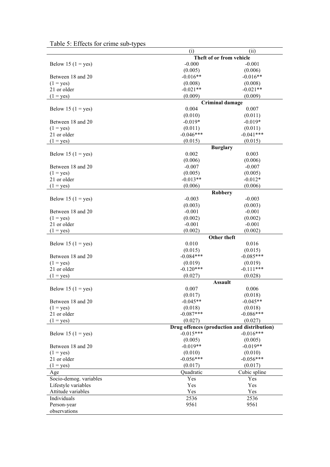|                        | (i)                                         | (ii)                     |  |
|------------------------|---------------------------------------------|--------------------------|--|
|                        | Theft of or from vehicle                    |                          |  |
| Below 15 $(1 = yes)$   | $-0.000$                                    | $-0.001$                 |  |
|                        | (0.005)                                     | (0.006)                  |  |
| Between 18 and 20      | $-0.016**$                                  | $-0.016**$               |  |
| $(1 = yes)$            | (0.008)                                     | (0.008)                  |  |
| 21 or older            | $-0.021**$                                  | $-0.021**$               |  |
| $(1 = yes)$            | (0.009)                                     | (0.009)                  |  |
|                        |                                             | <b>Criminal damage</b>   |  |
| Below 15 ( $1 = yes$ ) | 0.004                                       | 0.007                    |  |
|                        | (0.010)                                     | (0.011)                  |  |
| Between 18 and 20      | $-0.019*$                                   | $-0.019*$                |  |
| $(1 = yes)$            | (0.011)                                     | (0.011)                  |  |
| 21 or older            | $-0.046***$                                 | $-0.041***$              |  |
|                        | (0.015)                                     | (0.015)                  |  |
| $(1 = yes)$            |                                             |                          |  |
| Below 15 ( $1 = yes$ ) | 0.002                                       | <b>Burglary</b><br>0.003 |  |
|                        | (0.006)                                     | (0.006)                  |  |
|                        |                                             |                          |  |
| Between 18 and 20      | $-0.007$                                    | $-0.007$                 |  |
| $(1 = yes)$            | (0.005)                                     | (0.005)                  |  |
| 21 or older            | $-0.013**$                                  | $-0.012*$                |  |
| $(1 = yes)$            | (0.006)                                     | (0.006)                  |  |
|                        |                                             | <b>Robbery</b>           |  |
| Below 15 ( $1 = yes$ ) | $-0.003$                                    | $-0.003$                 |  |
|                        | (0.003)                                     | (0.003)                  |  |
| Between 18 and 20      | $-0.001$                                    | $-0.001$                 |  |
| $(1 = yes)$            | (0.002)                                     | (0.002)                  |  |
| 21 or older            | $-0.001$                                    | $-0.001$                 |  |
| $(1 = yes)$            | (0.002)                                     | (0.002)                  |  |
|                        | Other theft                                 |                          |  |
| Below 15 ( $1 = yes$ ) | 0.010                                       | 0.016                    |  |
|                        | (0.015)                                     | (0.015)                  |  |
| Between 18 and 20      | $-0.084***$                                 | $-0.085***$              |  |
| $(1 = yes)$            | (0.019)                                     | (0.019)                  |  |
| 21 or older            | $-0.120***$                                 | $-0.111***$              |  |
| $(1 = yes)$            | (0.027)                                     | (0.028)                  |  |
|                        | <b>Assault</b>                              |                          |  |
| Below 15 ( $1 = yes$ ) | 0.007                                       | 0.006                    |  |
|                        | (0.017)                                     | (0.018)                  |  |
| Between 18 and 20      | $-0.045**$                                  | $-0.045**$               |  |
| $(1 = yes)$            | (0.018)                                     | (0.018)                  |  |
| 21 or older            | $-0.087***$                                 | $-0.086***$              |  |
| $(1 = yes)$            | (0.027)                                     | (0.027)                  |  |
|                        | Drug offences (production and distribution) |                          |  |
| Below 15 ( $1 = yes$ ) | $-0.015***$                                 | $-0.016***$              |  |
|                        |                                             | (0.005)                  |  |
| Between 18 and 20      | (0.005)<br>$-0.019**$                       | $-0.019**$               |  |
|                        |                                             |                          |  |
| $(1 = yes)$            | (0.010)                                     | (0.010)                  |  |
| 21 or older            | $-0.056***$                                 | $-0.056***$              |  |
| $(1 = yes)$            | (0.017)                                     | (0.017)                  |  |
| Age                    | Quadratic                                   | Cubic spline             |  |
| Socio-demog. variables | Yes                                         | Yes                      |  |
| Lifestyle variables    | Yes                                         | Yes                      |  |
| Attitude variables     | Yes                                         | Yes                      |  |
| Individuals            | 2536                                        | 2536                     |  |
| Person-year            | 9561                                        | 9561                     |  |
| observations           |                                             |                          |  |

|  |  | Table 5: Effects for crime sub-types |
|--|--|--------------------------------------|
|  |  |                                      |
|  |  |                                      |
|  |  |                                      |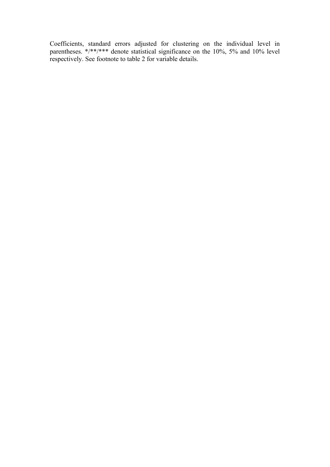Coefficients, standard errors adjusted for clustering on the individual level in parentheses. \*/\*\*/\*\*\* denote statistical significance on the 10%, 5% and 10% level respectively. See footnote to table 2 for variable details.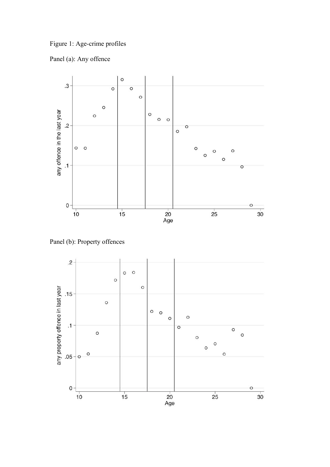Figure 1: Age-crime profiles





Panel (b): Property offences